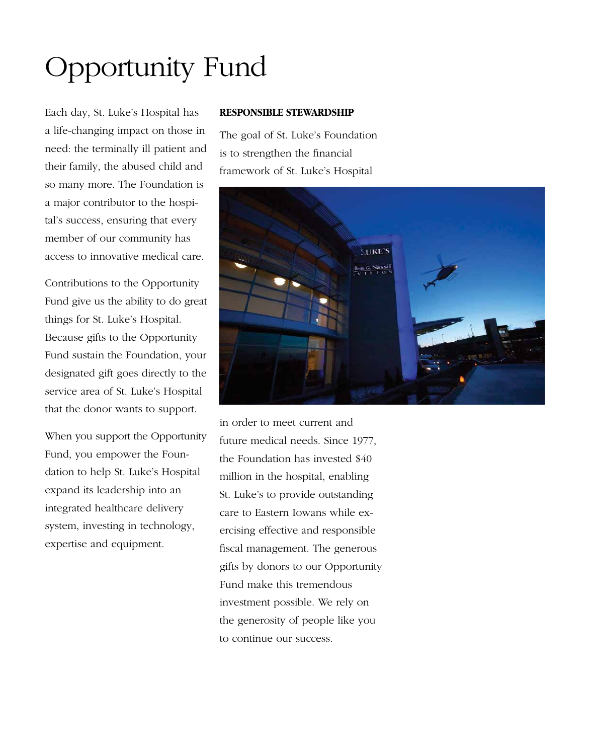# Opportunity Fund

Each day, St. Luke's Hospital has a life-changing impact on those in need: the terminally ill patient and their family, the abused child and so many more. The Foundation is a major contributor to the hospital's success, ensuring that every member of our community has access to innovative medical care.

Contributions to the Opportunity Fund give us the ability to do great things for St. Luke's Hospital. Because gifts to the Opportunity Fund sustain the Foundation, your designated gift goes directly to the service area of St. Luke's Hospital that the donor wants to support.

When you support the Opportunity Fund, you empower the Foundation to help St. Luke's Hospital expand its leadership into an integrated healthcare delivery system, investing in technology, expertise and equipment.

#### **Responsible stewardship**

The goal of St. Luke's Foundation is to strengthen the financial framework of St. Luke's Hospital



in order to meet current and future medical needs. Since 1977, the Foundation has invested \$40 million in the hospital, enabling St. Luke's to provide outstanding care to Eastern Iowans while exercising effective and responsible fiscal management. The generous gifts by donors to our Opportunity Fund make this tremendous investment possible. We rely on the generosity of people like you to continue our success.